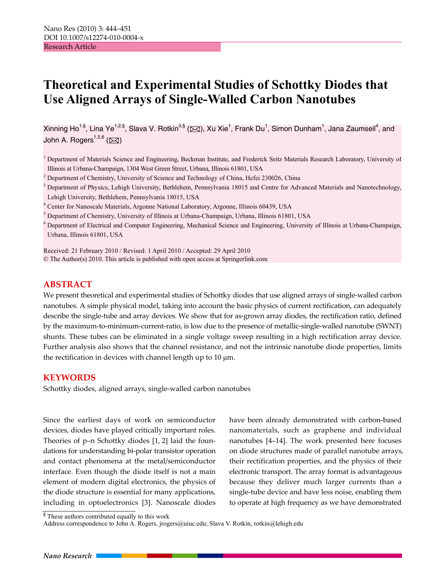# **Theoretical and Experimental Studies of Schottky Diodes that Use Aligned Arrays of Single-Walled Carbon Nanotubes**

Xinning Ho<sup>1,§</sup>, Lina Ye<sup>1,2,§</sup>, Slava V. Rotkin<sup>3,§</sup> (⊠), Xu Xie<sup>1</sup>, Frank Du<sup>1</sup>, Simon Dunham<sup>1</sup>, Jana Zaumseil<sup>4</sup>, and John A. Rogers<sup>1,5,6</sup> ( $\boxtimes$ )

<sup>1</sup> Department of Materials Science and Engineering, Beckman Institute, and Frederick Seitz Materials Research Laboratory, University of Illinois at Urbana-Champaign, 1304 West Green Street, Urbana, Illinois 61801, USA 2

<sup>2</sup> Department of Chemistry, University of Science and Technology of China, Hefei 230026, China

<sup>3</sup> Department of Physics, Lehigh University, Bethlehem, Pennsylvania 18015 and Centre for Advanced Materials and Nanotechnology, Lehigh University, Bethlehem, Pennsylvania 18015, USA

<sup>4</sup> Center for Nanoscale Materials, Argonne National Laboratory, Argonne, Illinois 60439, USA<br><sup>5</sup> Department of Chamistry, University of Illinois at Urbana Champaign, Urbana, Illinois 61801

<sup>5</sup> Department of Chemistry, University of Illinois at Urbana-Champaign, Urbana, Illinois 61801, USA

<sup>6</sup> Department of Electrical and Computer Engineering, Mechanical Science and Engineering, University of Illinois at Urbana-Champaign, Urbana, Illinois 61801, USA

Received: 21 February 2010 / Revised: 1 April 2010 / Accepted: 29 April 2010

© The Author(s) 2010. This article is published with open access at Springerlink.com

### **ABSTRACT**

We present theoretical and experimental studies of Schottky diodes that use aligned arrays of single-walled carbon nanotubes. A simple physical model, taking into account the basic physics of current rectification, can adequately describe the single-tube and array devices. We show that for as-grown array diodes, the rectification ratio, defined by the maximum-to-minimum-current-ratio, is low due to the presence of metallic-single-walled nanotube (SWNT) shunts. These tubes can be eliminated in a single voltage sweep resulting in a high rectification array device. Further analysis also shows that the channel resistance, and not the intrinsic nanotube diode properties, limits the rectification in devices with channel length up to 10 μm.

#### **KEYWORDS**

Schottky diodes, aligned arrays, single-walled carbon nanotubes

Since the earliest days of work on semiconductor devices, diodes have played critically important roles. Theories of p–n Schottky diodes [1, 2] laid the foundations for understanding bi-polar transistor operation and contact phenomena at the metal/semiconductor interface. Even though the diode itself is not a main element of modern digital electronics, the physics of the diode structure is essential for many applications, including in optoelectronics [3]. Nanoscale diodes have been already demonstrated with carbon-based nanomaterials, such as graphene and individual nanotubes [4–14]. The work presented here focuses on diode structures made of parallel nanotube arrays, their rectification properties, and the physics of their electronic transport. The array format is advantageous because they deliver much larger currents than a single-tube device and have less noise, enabling them to operate at high frequency as we have demonstrated

<sup>§</sup> These authors contributed equally to this work

Address correspondence to John A. Rogers, jrogers@uiuc.edu; Slava V. Rotkin, rotkin@lehigh.edu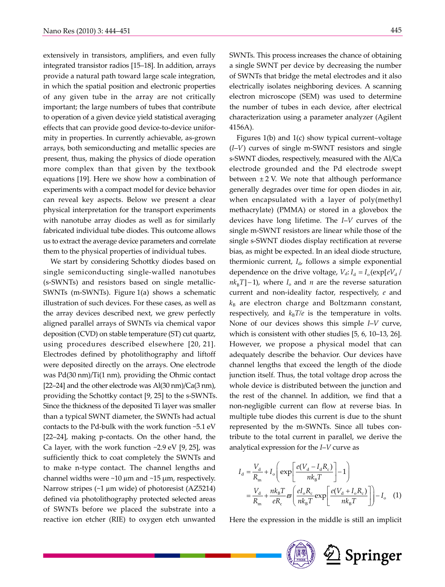extensively in transistors, amplifiers, and even fully integrated transistor radios [15–18]. In addition, arrays provide a natural path toward large scale integration, in which the spatial position and electronic properties of any given tube in the array are not critically important; the large numbers of tubes that contribute to operation of a given device yield statistical averaging effects that can provide good device-to-device uniformity in properties. In currently achievable, as-grown arrays, both semiconducting and metallic species are present, thus, making the physics of diode operation more complex than that given by the textbook equations [19]. Here we show how a combination of experiments with a compact model for device behavior can reveal key aspects. Below we present a clear physical interpretation for the transport experiments with nanotube array diodes as well as for similarly fabricated individual tube diodes. This outcome allows us to extract the average device parameters and correlate them to the physical properties of individual tubes.

We start by considering Schottky diodes based on single semiconducting single-walled nanotubes (s-SWNTs) and resistors based on single metallic-SWNTs (m-SWNTs). Figure 1(a) shows a schematic illustration of such devices. For these cases, as well as the array devices described next, we grew perfectly aligned parallel arrays of SWNTs via chemical vapor deposition (CVD) on stable temperature (ST) cut quartz, using procedures described elsewhere [20, 21]. Electrodes defined by photolithography and liftoff were deposited directly on the arrays. One electrode was Pd(30 nm)/Ti(1 nm), providing the Ohmic contact [22–24] and the other electrode was Al(30 nm)/Ca(3 nm), providing the Schottky contact [9, 25] to the s-SWNTs. Since the thickness of the deposited Ti layer was smaller than a typical SWNT diameter, the SWNTs had actual contacts to the Pd-bulk with the work function ~5.1 eV [22–24], making p-contacts. On the other hand, the Ca layer, with the work function  $\sim$ 2.9 eV [9, 25], was sufficiently thick to coat completely the SWNTs and to make n-type contact. The channel lengths and channel widths were  $\sim$ 10  $\mu$ m and  $\sim$ 15  $\mu$ m, respectively. Narrow stripes (~1 µm wide) of photoresist (AZ5214) defined via photolithography protected selected areas of SWNTs before we placed the substrate into a reactive ion etcher (RIE) to oxygen etch unwanted

SWNTs. This process increases the chance of obtaining a single SWNT per device by decreasing the number of SWNTs that bridge the metal electrodes and it also electrically isolates neighboring devices. A scanning electron microscope (SEM) was used to determine the number of tubes in each device, after electrical characterization using a parameter analyzer (Agilent 4156A).

Figures 1(b) and 1(c) show typical current–voltage (*I*–*V*) curves of single m-SWNT resistors and single s-SWNT diodes, respectively, measured with the Al/Ca electrode grounded and the Pd electrode swept between  $\pm 2$  V. We note that although performance generally degrades over time for open diodes in air, when encapsulated with a layer of poly(methyl methacrylate) (PMMA) or stored in a glovebox the devices have long lifetime. The *I*–*V* curves of the single m-SWNT resistors are linear while those of the single s-SWNT diodes display rectification at reverse bias, as might be expected. In an ideal diode structure, thermionic current,  $I_{d}$ , follows a simple exponential dependence on the drive voltage,  $V_d$ :  $I_d = I_o(\exp[eV_d /$  $nk_{B}T$ ] – 1), where  $I_{o}$  and  $n$  are the reverse saturation current and non-ideality factor, respectively, *e* and  $k_B$  are electron charge and Boltzmann constant, respectively, and  $k_B T/e$  is the temperature in volts. None of our devices shows this simple *I*–*V* curve, which is consistent with other studies [5, 6, 10–13, 26]. However, we propose a physical model that can adequately describe the behavior. Our devices have channel lengths that exceed the length of the diode junction itself. Thus, the total voltage drop across the whole device is distributed between the junction and the rest of the channel. In addition, we find that a non-negligible current can flow at reverse bias. In multiple tube diodes this current is due to the shunt represented by the m-SWNTs. Since all tubes contribute to the total current in parallel, we derive the analytical expression for the *I*–*V* curve as

$$
I_{\rm d} = \frac{V_{\rm d}}{R_{\rm m}} + I_{\rm o}\left(\exp\left[\frac{e(V_{\rm d} - I_{\rm d}R_{\rm c})}{nk_{\rm B}T}\right] - 1\right)
$$
  

$$
= \frac{V_{\rm d}}{R_{\rm m}} + \frac{nk_{\rm B}T}{eR_{\rm c}}\varpi\left(\frac{el_{\rm o}R_{\rm c}}{nk_{\rm B}T}\exp\left[\frac{e(V_{\rm d} + I_{\rm o}R_{\rm c})}{nk_{\rm B}T}\right]\right) - I_{\rm o}
$$
 (1)

Here the expression in the middle is still an implicit

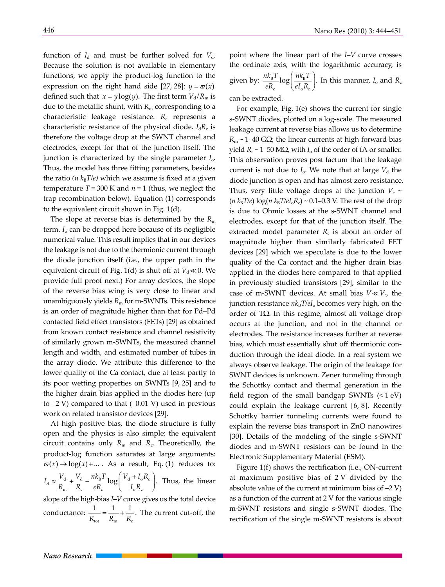function of  $I_d$  and must be further solved for  $V_d$ . Because the solution is not available in elementary functions, we apply the product-log function to the expression on the right hand side [27, 28]:  $y = \varpi(x)$ defined such that  $x = y \log(y)$ . The first term  $V_d/R_m$  is due to the metallic shunt, with  $R<sub>m</sub>$  corresponding to a characteristic leakage resistance. R<sub>c</sub> represents a characteristic resistance of the physical diode.  $I_dR_c$  is therefore the voltage drop at the SWNT channel and electrodes, except for that of the junction itself. The junction is characterized by the single parameter *I*o. Thus, the model has three fitting parameters, besides the ratio ( $n k_B T/e$ ) which we assume is fixed at a given temperature  $T = 300$  K and  $n = 1$  (thus, we neglect the trap recombination below). Equation (1) corresponds to the equivalent circuit shown in Fig. 1(d).

The slope at reverse bias is determined by the  $R<sub>m</sub>$ term. *I*o can be dropped here because of its negligible numerical value. This result implies that in our devices the leakage is not due to the thermionic current through the diode junction itself (i.e., the upper path in the equivalent circuit of Fig. 1(d) is shut off at  $V_d \ll 0$ . We provide full proof next.) For array devices, the slope of the reverse bias wing is very close to linear and unambiguously yields *R*m for m-SWNTs. This resistance is an order of magnitude higher than that for Pd–Pd contacted field effect transistors (FETs) [29] as obtained from known contact resistance and channel resistivity of similarly grown m-SWNTs, the measured channel length and width, and estimated number of tubes in the array diode. We attribute this difference to the lower quality of the Ca contact, due at least partly to its poor wetting properties on SWNTs [9, 25] and to the higher drain bias applied in the diodes here (up to  $-2$  V) compared to that  $(-0.01 \text{ V})$  used in previous work on related transistor devices [29].

At high positive bias, the diode structure is fully open and the physics is also simple: the equivalent circuit contains only  $R_m$  and  $R_c$ . Theoretically, the product-log function saturates at large arguments:  $\overline{\omega}(x) \rightarrow \log(x) + ...$  *As a result, Eq. (1) reduces to:*  $J_{\rm d} \approx \frac{V_{\rm d}}{R_{\rm m}} + \frac{V_{\rm d}}{R_{\rm c}} - \frac{n k_{\rm B} T}{e R_{\rm c}} \log \left( \frac{V_{\rm d} + I_{\rm o} R_{\rm c}}{I_{\rm o} R_{\rm c}} \right)$  $I_d \approx \frac{V_d}{R_m} + \frac{V_d}{R_c} - \frac{n k_B T}{e R_c} \log \left( \frac{V_d + I_o R_c}{I_o R_c} \right)$ . Thus, the linear slope of the high-bias *I*–*V* curve gives us the total device conductance:  $\frac{1}{R} = \frac{1}{R} +$  $\frac{1}{R_{\text{tot}}} = \frac{1}{R_{\text{m}}} + \frac{1}{R_{\text{c}}}$ . The current cut-off, the point where the linear part of the *I*–*V* curve crosses the ordinate axis, with the logarithmic accuracy, is given by:  $\frac{n k_{\rm B} T}{e R_{\rm c}} \log \left( \frac{n k_{\rm B} T}{e I_{\rm o} R_{\rm c}} \right)$ c  $\mathcal{C}^{\mathcal{L}}$  o<sup>1</sup> c  $\frac{n k_{\rm B} T}{e R_{\rm c}}$  log  $\left(\frac{n k_{\rm B} T}{e I_{\rm o} R_{\rm c}}\right)$ . In this manner,  $I_{\rm o}$  and  $R_{\rm c}$ can be extracted.

For example, Fig. 1(e) shows the current for single s-SWNT diodes, plotted on a log-scale. The measured leakage current at reverse bias allows us to determine  $R_m \sim 1-40$  G $\Omega$ ; the linear currents at high forward bias yield  $R_c \sim 1-50$  MΩ, with  $I_o$  of the order of fA or smaller. This observation proves post factum that the leakage current is not due to  $I_0$ . We note that at large  $V_d$  the diode junction is open and has almost zero resistance. Thus, very little voltage drops at the junction  $V_c \sim$  $(n k_B T/e) \log(n k_B T/eI_0 R_c) \sim 0.1{\text{-}}0.3$  V. The rest of the drop is due to Ohmic losses at the s-SWNT channel and electrodes, except for that of the junction itself. The extracted model parameter  $R_c$  is about an order of magnitude higher than similarly fabricated FET devices [29] which we speculate is due to the lower quality of the Ca contact and the higher drain bias applied in the diodes here compared to that applied in previously studied transistors [29], similar to the case of m-SWNT devices. At small bias  $V \ll V_c$ , the junction resistance  $nk_BT/el_o$  becomes very high, on the order of TΩ. In this regime, almost all voltage drop occurs at the junction, and not in the channel or electrodes. The resistance increases further at reverse bias, which must essentially shut off thermionic conduction through the ideal diode. In a real system we always observe leakage. The origin of the leakage for SWNT devices is unknown. Zener tunneling through the Schottky contact and thermal generation in the field region of the small bandgap SWNTs  $(1 eV)$ could explain the leakage current [6, 8]. Recently Schottky barrier tunneling currents were found to explain the reverse bias transport in ZnO nanowires [30]. Details of the modeling of the single s-SWNT diodes and m-SWNT resistors can be found in the Electronic Supplementary Material (ESM).

Figure 1(f) shows the rectification (i.e., ON-current at maximum positive bias of 2 V divided by the absolute value of the current at minimum bias of  $-2$  V) as a function of the current at 2 V for the various single m-SWNT resistors and single s-SWNT diodes. The rectification of the single m-SWNT resistors is about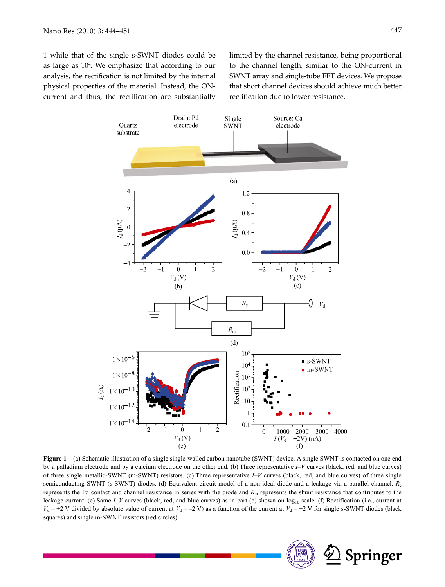1 while that of the single s-SWNT diodes could be as large as  $10<sup>4</sup>$ . We emphasize that according to our analysis, the rectification is not limited by the internal physical properties of the material. Instead, the ONcurrent and thus, the rectification are substantially

limited by the channel resistance, being proportional to the channel length, similar to the ON-current in SWNT array and single-tube FET devices. We propose that short channel devices should achieve much better rectification due to lower resistance.



**Figure 1** (a) Schematic illustration of a single single-walled carbon nanotube (SWNT) device. A single SWNT is contacted on one end by a palladium electrode and by a calcium electrode on the other end. (b) Three representative *I*–*V* curves (black, red, and blue curves) of three single metallic-SWNT (m-SWNT) resistors. (c) Three representative *I*–*V* curves (black, red, and blue curves) of three single semiconducting-SWNT (s-SWNT) diodes. (d) Equivalent circuit model of a non-ideal diode and a leakage via a parallel channel. *R*<sup>c</sup> represents the Pd contact and channel resistance in series with the diode and *R*m represents the shunt resistance that contributes to the leakage current. (e) Same  $I-V$  curves (black, red, and blue curves) as in part (c) shown on  $log_{10}$  scale. (f) Rectification (i.e., current at  $V_d$  = +2 V divided by absolute value of current at  $V_d$  = -2 V) as a function of the current at  $V_d$  = +2 V for single s-SWNT diodes (black squares) and single m-SWNT resistors (red circles)

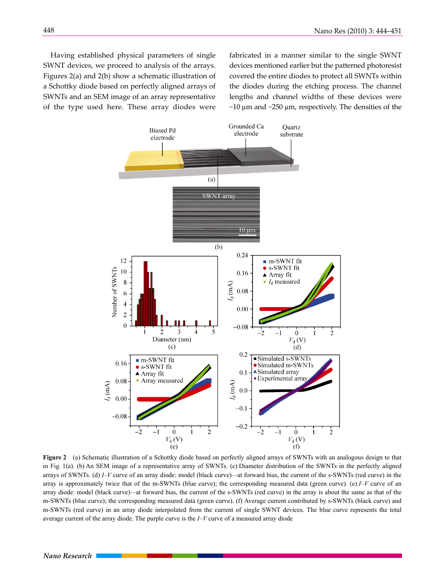Having established physical parameters of single SWNT devices, we proceed to analysis of the arrays. Figures 2(a) and 2(b) show a schematic illustration of a Schottky diode based on perfectly aligned arrays of SWNTs and an SEM image of an array representative of the type used here. These array diodes were fabricated in a manner similar to the single SWNT devices mentioned earlier but the patterned photoresist covered the entire diodes to protect all SWNTs within the diodes during the etching process. The channel lengths and channel widths of these devices were  $\sim$ 10 µm and  $\sim$ 250 µm, respectively. The densities of the



**Figure 2** (a) Schematic illustration of a Schottky diode based on perfectly aligned arrays of SWNTs with an analogous design to that in Fig. 1(a). (b) An SEM image of a representative array of SWNTs. (c) Diameter distribution of the SWNTs in the perfectly aligned arrays of SWNTs. (d) *I*–*V* curve of an array diode: model (black curve)—at forward bias, the current of the s-SWNTs (red curve) in the array is approximately twice that of the m-SWNTs (blue curve); the corresponding measured data (green curve). (e)  $I-V$  curve of an array diode: model (black curve)—at forward bias, the current of the s-SWNTs (red curve) in the array is about the same as that of the m-SWNTs (blue curve); the corresponding measured data (green curve). (f) Average current contributed by s-SWNTs (black curve) and m-SWNTs (red curve) in an array diode interpolated from the current of single SWNT devices. The blue curve represents the total average current of the array diode. The purple curve is the *I*–*V* curve of a measured array diode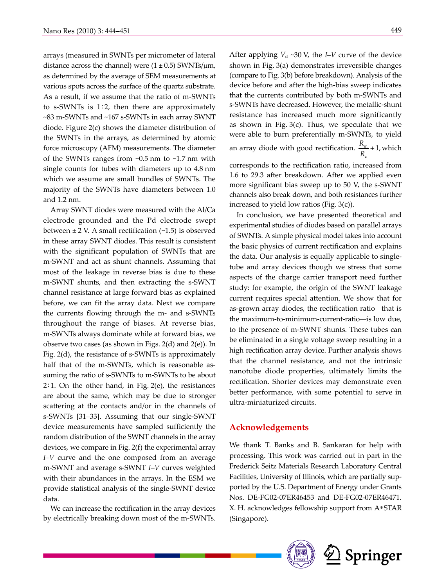arrays (measured in SWNTs per micrometer of lateral distance across the channel) were  $(1 \pm 0.5)$  SWNTs/ $\mu$ m, as determined by the average of SEM measurements at various spots across the surface of the quartz substrate. As a result, if we assume that the ratio of m-SWNTs to s-SWNTs is  $1:2$ , then there are approximately ~83 m-SWNTs and ~167 s-SWNTs in each array SWNT diode. Figure 2(c) shows the diameter distribution of the SWNTs in the arrays, as determined by atomic force microscopy (AFM) measurements. The diameter of the SWNTs ranges from ~0.5 nm to ~1.7 nm with single counts for tubes with diameters up to 4.8 nm which we assume are small bundles of SWNTs. The majority of the SWNTs have diameters between 1.0 and 1.2 nm.

Array SWNT diodes were measured with the Al/Ca electrode grounded and the Pd electrode swept between  $\pm$  2 V. A small rectification (~1.5) is observed in these array SWNT diodes. This result is consistent with the significant population of SWNTs that are m-SWNT and act as shunt channels. Assuming that most of the leakage in reverse bias is due to these m-SWNT shunts, and then extracting the s-SWNT channel resistance at large forward bias as explained before, we can fit the array data. Next we compare the currents flowing through the m- and s-SWNTs throughout the range of biases. At reverse bias, m-SWNTs always dominate while at forward bias, we observe two cases (as shown in Figs. 2(d) and 2(e)). In Fig. 2(d), the resistance of s-SWNTs is approximately half that of the m-SWNTs, which is reasonable assuming the ratio of s-SWNTs to m-SWNTs to be about  $2:1$ . On the other hand, in Fig.  $2(e)$ , the resistances are about the same, which may be due to stronger scattering at the contacts and/or in the channels of s-SWNTs [31–33]. Assuming that our single-SWNT device measurements have sampled sufficiently the random distribution of the SWNT channels in the array devices, we compare in Fig. 2(f) the experimental array *I*–*V* curve and the one composed from an average m-SWNT and average s-SWNT *I*–*V* curves weighted with their abundances in the arrays. In the ESM we provide statistical analysis of the single-SWNT device data.

We can increase the rectification in the array devices by electrically breaking down most of the m-SWNTs. After applying  $V_d \sim 30$  V, the *I–V* curve of the device shown in Fig. 3(a) demonstrates irreversible changes (compare to Fig. 3(b) before breakdown). Analysis of the device before and after the high-bias sweep indicates that the currents contributed by both m-SWNTs and s-SWNTs have decreased. However, the metallic-shunt resistance has increased much more significantly as shown in Fig. 3(c). Thus, we speculate that we were able to burn preferentially m-SWNTs, to yield an array diode with good rectification.  $\frac{R_{\rm m}}{R_{\rm c}}$  + 1, which c corresponds to the rectification ratio, increased from 1.6 to 29.3 after breakdown. After we applied even more significant bias sweep up to 50 V, the s-SWNT

channels also break down, and both resistances further

increased to yield low ratios (Fig. 3(c)). In conclusion, we have presented theoretical and experimental studies of diodes based on parallel arrays of SWNTs. A simple physical model takes into account the basic physics of current rectification and explains the data. Our analysis is equally applicable to singletube and array devices though we stress that some aspects of the charge carrier transport need further study: for example, the origin of the SWNT leakage current requires special attention. We show that for as-grown array diodes, the rectification ratio—that is the maximum-to-minimum-current-ratio—is low due, to the presence of m-SWNT shunts. These tubes can be eliminated in a single voltage sweep resulting in a high rectification array device. Further analysis shows that the channel resistance, and not the intrinsic nanotube diode properties, ultimately limits the rectification. Shorter devices may demonstrate even better performance, with some potential to serve in ultra-miniaturized circuits.

#### **Acknowledgements**

We thank T. Banks and B. Sankaran for help with processing. This work was carried out in part in the Frederick Seitz Materials Research Laboratory Central Facilities, University of Illinois, which are partially supported by the U.S. Department of Energy under Grants Nos. DE-FG02-07ER46453 and DE-FG02-07ER46471. X. H. acknowledges fellowship support from A\*STAR (Singapore).

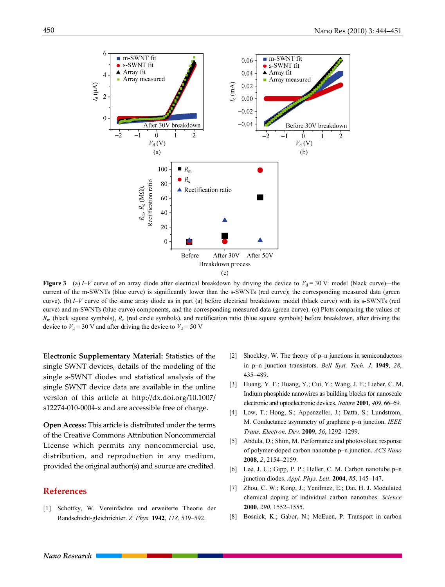

**Figure 3** (a) *I–V* curve of an array diode after electrical breakdown by driving the device to  $V_d = 30$  V: model (black curve)—the current of the m-SWNTs (blue curve) is significantly lower than the s-SWNTs (red curve); the corresponding measured data (green curve). (b) *I*–*V* curve of the same array diode as in part (a) before electrical breakdown: model (black curve) with its s-SWNTs (red curve) and m-SWNTs (blue curve) components, and the corresponding measured data (green curve). (c) Plots comparing the values of  $R<sub>m</sub>$  (black square symbols),  $R<sub>c</sub>$  (red circle symbols), and rectification ratio (blue square symbols) before breakdown, after driving the device to  $V_d$  = 30 V and after driving the device to  $V_d$  = 50 V

**Electronic Supplementary Material:** Statistics of the single SWNT devices, details of the modeling of the single s-SWNT diodes and statistical analysis of the single SWNT device data are available in the online version of this article at http://dx.doi.org/10.1007/ s12274-010-0004-x and are accessible free of charge.

**Open Access:** This article is distributed under the terms of the Creative Commons Attribution Noncommercial License which permits any noncommercial use, distribution, and reproduction in any medium, provided the original author(s) and source are credited.

## **References**

[1] Schottky, W. Vereinfachte und erweiterte Theorie der Randschicht-gleichrichter. *Z. Phys.* **1942**, *118*, 539–592.

- [2] Shockley, W. The theory of p–n junctions in semiconductors in p–n junction transistors. *Bell Syst. Tech. J.* **1949**, *28*, 435–489.
- [3] Huang, Y. F.; Huang, Y.; Cui, Y.; Wang, J. F.; Lieber, C. M. Indium phosphide nanowires as building blocks for nanoscale electronic and optoelectronic devices. *Nature* **2001**, *409*, 66–69.
- [4] Low, T.; Hong, S.; Appenzeller, J.; Datta, S.; Lundstrom, M. Conductance asymmetry of graphene p–n junction. *IEEE Trans. Electron. Dev.* **2009**, *56*, 1292–1299.
- [5] Abdula, D.; Shim, M. Performance and photovoltaic response of polymer-doped carbon nanotube p–n junction. *ACS Nano* **2008**, *2*, 2154–2159.
- [6] Lee, J. U.; Gipp, P. P.; Heller, C. M. Carbon nanotube p–n junction diodes. *Appl. Phys. Lett.* **2004**, *85*, 145–147.
- [7] Zhou, C. W.; Kong, J.; Yenilmez, E.; Dai, H. J. Modulated chemical doping of individual carbon nanotubes. *Science* **2000**, *290*, 1552–1555.
- [8] Bosnick, K.; Gabor, N.; McEuen, P. Transport in carbon